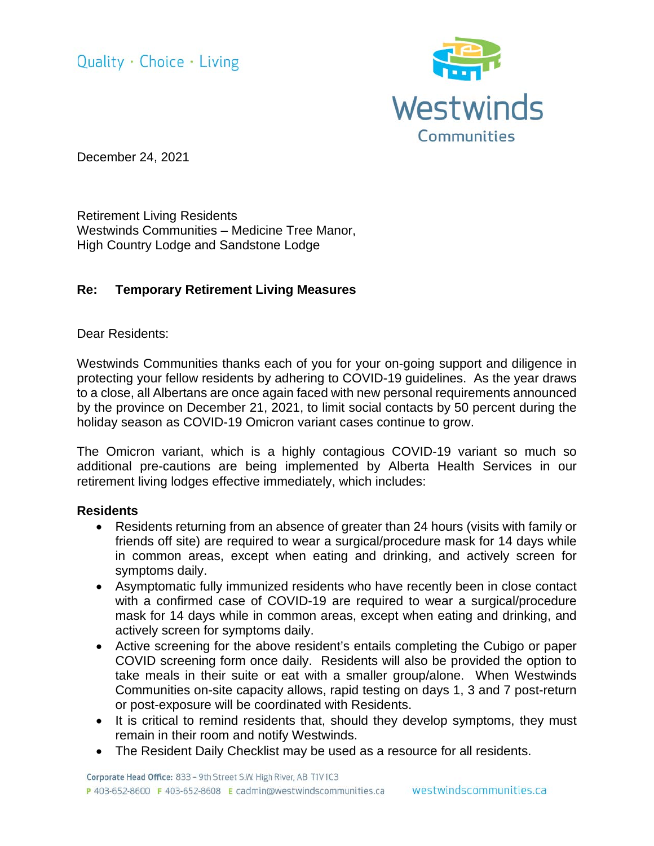Quality · Choice · Living



December 24, 2021

Retirement Living Residents Westwinds Communities – Medicine Tree Manor, High Country Lodge and Sandstone Lodge

## **Re: Temporary Retirement Living Measures**

Dear Residents:

Westwinds Communities thanks each of you for your on-going support and diligence in protecting your fellow residents by adhering to COVID-19 guidelines. As the year draws to a close, all Albertans are once again faced with new personal requirements announced by the province on December 21, 2021, to limit social contacts by 50 percent during the holiday season as COVID-19 Omicron variant cases continue to grow.

The Omicron variant, which is a highly contagious COVID-19 variant so much so additional pre-cautions are being implemented by Alberta Health Services in our retirement living lodges effective immediately, which includes:

## **Residents**

- Residents returning from an absence of greater than 24 hours (visits with family or friends off site) are required to wear a surgical/procedure mask for 14 days while in common areas, except when eating and drinking, and actively screen for symptoms daily.
- Asymptomatic fully immunized residents who have recently been in close contact with a confirmed case of COVID-19 are required to wear a surgical/procedure mask for 14 days while in common areas, except when eating and drinking, and actively screen for symptoms daily.
- Active screening for the above resident's entails completing the Cubigo or paper COVID screening form once daily. Residents will also be provided the option to take meals in their suite or eat with a smaller group/alone. When Westwinds Communities on-site capacity allows, rapid testing on days 1, 3 and 7 post-return or post-exposure will be coordinated with Residents.
- It is critical to remind residents that, should they develop symptoms, they must remain in their room and notify Westwinds.
- The Resident Daily Checklist may be used as a resource for all residents.